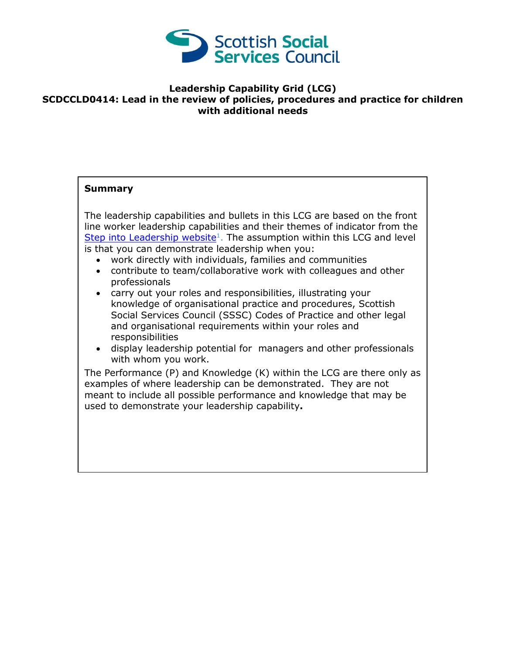

## **Leadership Capability Grid (LCG) SCDCCLD0414: Lead in the review of policies, procedures and practice for children with additional needs**

## **Summary**

The leadership capabilities and bullets in this LCG are based on the front line worker leadership capabilities and their themes of indicator from the [Step into Leadership website](http://www.stepintoleadership.info/)<sup>1</sup>. The assumption within this LCG and level is that you can demonstrate leadership when you:

- work directly with individuals, families and communities
- contribute to team/collaborative work with colleagues and other professionals
- carry out your roles and responsibilities, illustrating your knowledge of organisational practice and procedures, Scottish Social Services Council (SSSC) Codes of Practice and other legal and organisational requirements within your roles and responsibilities
- display leadership potential for managers and other professionals with whom you work.

The Performance (P) and Knowledge (K) within the LCG are there only as examples of where leadership can be demonstrated. They are not meant to include all possible performance and knowledge that may be used to demonstrate your leadership capability**.**